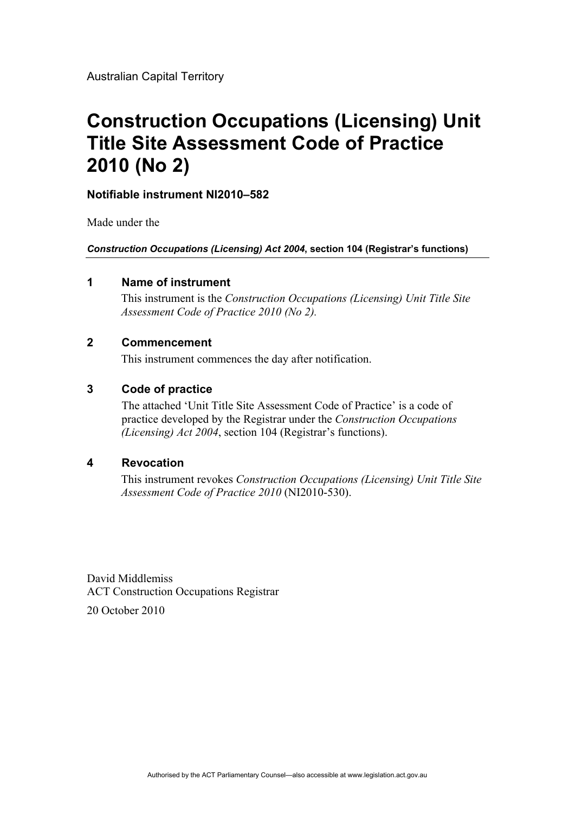# **Construction Occupations (Licensing) Unit Title Site Assessment Code of Practice 2010 (No 2)**

#### **Notifiable instrument NI2010–582**

Made under the

*Construction Occupations (Licensing) Act 2004***, section 104 (Registrar's functions)**

#### **1 Name of instrument**

This instrument is the *Construction Occupations (Licensing) Unit Title Site Assessment Code of Practice 2010 (No 2).*

#### **2 Commencement**

This instrument commences the day after notification.

#### **3 Code of practice**

The attached 'Unit Title Site Assessment Code of Practice' is a code of practice developed by the Registrar under the *Construction Occupations (Licensing) Act 2004*, section 104 (Registrar's functions).

#### **4 Revocation**

This instrument revokes *Construction Occupations (Licensing) Unit Title Site Assessment Code of Practice 2010* (NI2010-530).

David Middlemiss ACT Construction Occupations Registrar

20 October 2010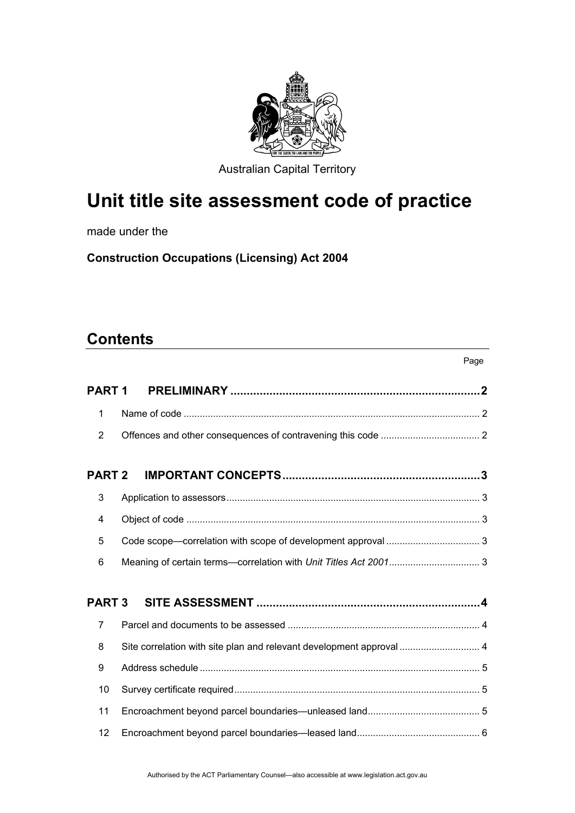

Australian Capital Territory

# **Unit title site assessment code of practice**

made under the

**Construction Occupations (Licensing) Act 2004** 

### **Contents**

|                   |                                                                      | Page |
|-------------------|----------------------------------------------------------------------|------|
| PART <sub>1</sub> |                                                                      |      |
| 1                 |                                                                      |      |
| 2                 |                                                                      |      |
| <b>PART 2</b>     |                                                                      |      |
| 3                 |                                                                      |      |
| 4                 |                                                                      |      |
| 5                 |                                                                      |      |
| 6                 |                                                                      |      |
| <b>PART 3</b>     |                                                                      |      |
| 7                 |                                                                      |      |
| 8                 | Site correlation with site plan and relevant development approval  4 |      |
| 9                 |                                                                      |      |
| 10                |                                                                      |      |
| 11                |                                                                      |      |
| 12                |                                                                      |      |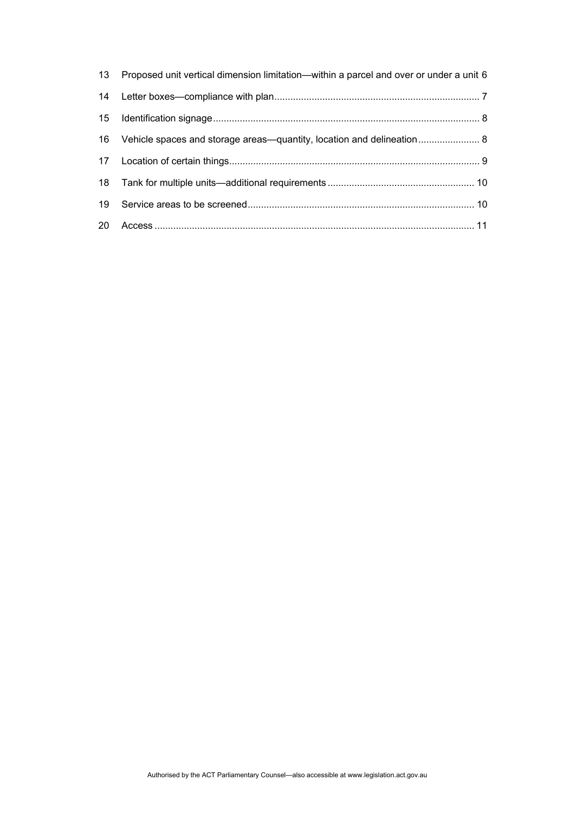|    | 13 Proposed unit vertical dimension limitation—within a parcel and over or under a unit 6 |
|----|-------------------------------------------------------------------------------------------|
| 14 |                                                                                           |
|    |                                                                                           |
|    |                                                                                           |
|    |                                                                                           |
|    |                                                                                           |
| 19 |                                                                                           |
|    |                                                                                           |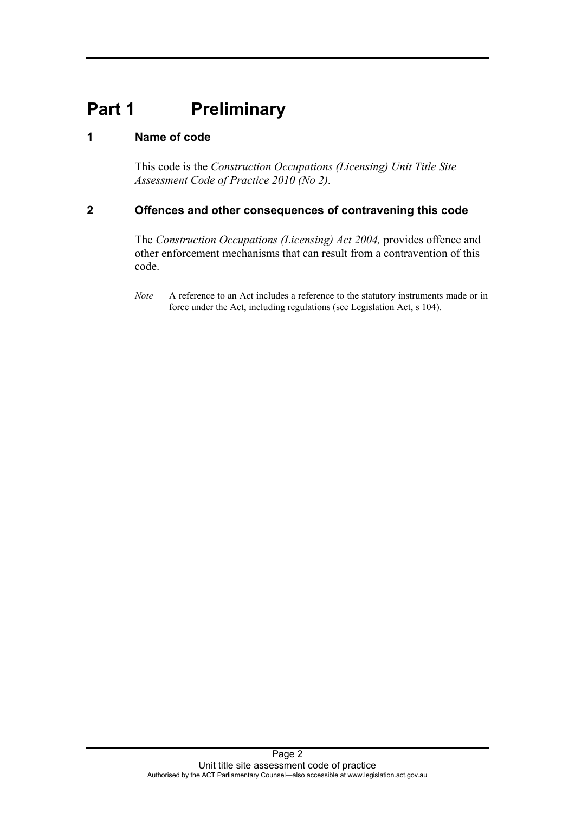## <span id="page-3-0"></span>**Part 1 Preliminary**

#### <span id="page-3-1"></span>**1 Name of code**

This code is the *Construction Occupations (Licensing) Unit Title Site Assessment Code of Practice 2010 (No 2)*.

#### <span id="page-3-2"></span>**2 Offences and other consequences of contravening this code**

The *Construction Occupations (Licensing) Act 2004*, provides offence and other enforcement mechanisms that can result from a contravention of this code.

*Note* A reference to an Act includes a reference to the statutory instruments made or in force under the Act, including regulations (see Legislation Act, s 104).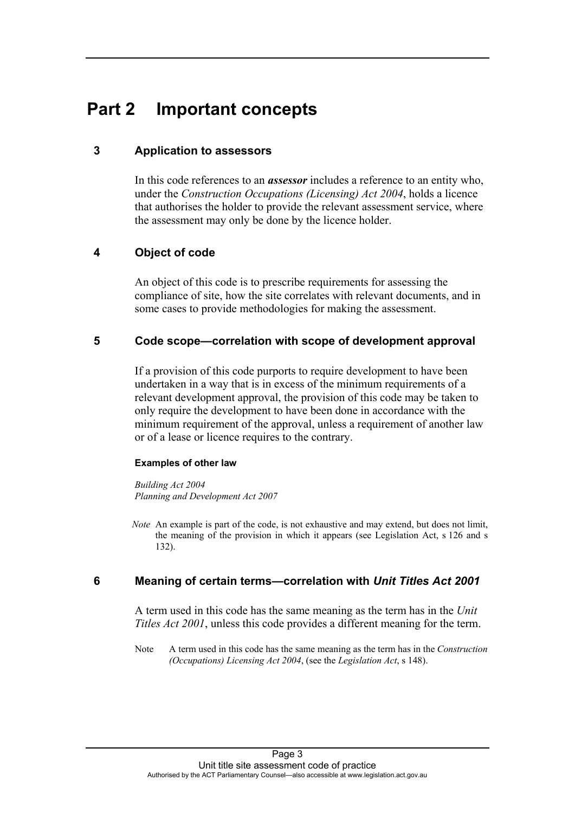### <span id="page-4-0"></span>**Part 2 Important concepts**

#### <span id="page-4-1"></span>**3 Application to assessors**

In this code references to an *assessor* includes a reference to an entity who, under the *Construction Occupations (Licensing) Act 2004*, holds a licence that authorises the holder to provide the relevant assessment service, where the assessment may only be done by the licence holder.

#### <span id="page-4-2"></span>**4 Object of code**

An object of this code is to prescribe requirements for assessing the compliance of site, how the site correlates with relevant documents, and in some cases to provide methodologies for making the assessment.

#### <span id="page-4-3"></span>**5 Code scope—correlation with scope of development approval**

If a provision of this code purports to require development to have been undertaken in a way that is in excess of the minimum requirements of a relevant development approval, the provision of this code may be taken to only require the development to have been done in accordance with the minimum requirement of the approval, unless a requirement of another law or of a lease or licence requires to the contrary.

#### **Examples of other law**

*Building Act 2004 Planning and Development Act 2007* 

*Note* An example is part of the code, is not exhaustive and may extend, but does not limit, the meaning of the provision in which it appears (see Legislation Act, s 126 and s 132).

#### <span id="page-4-4"></span>**6 Meaning of certain terms—correlation with** *Unit Titles Act 2001*

A term used in this code has the same meaning as the term has in the *Unit Titles Act 2001*, unless this code provides a different meaning for the term.

Note A term used in this code has the same meaning as the term has in the *Construction (Occupations) Licensing Act 2004*, (see the *Legislation Act*, s 148).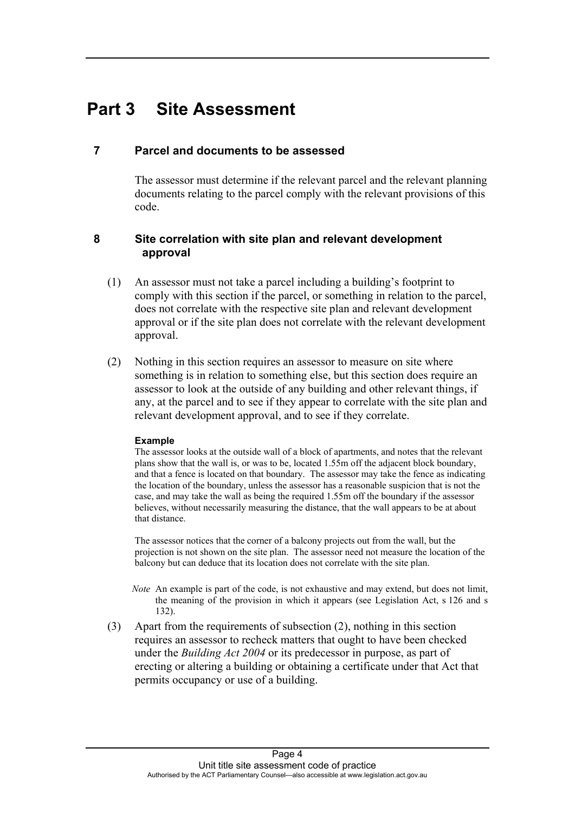### <span id="page-5-0"></span>**Part 3 Site Assessment**

#### <span id="page-5-1"></span>**7 Parcel and documents to be assessed**

The assessor must determine if the relevant parcel and the relevant planning documents relating to the parcel comply with the relevant provisions of this code.

#### <span id="page-5-2"></span>**8 Site correlation with site plan and relevant development approval**

- (1) An assessor must not take a parcel including a building's footprint to comply with this section if the parcel, or something in relation to the parcel, does not correlate with the respective site plan and relevant development approval or if the site plan does not correlate with the relevant development approval.
- (2) Nothing in this section requires an assessor to measure on site where something is in relation to something else, but this section does require an assessor to look at the outside of any building and other relevant things, if any, at the parcel and to see if they appear to correlate with the site plan and relevant development approval, and to see if they correlate.

#### **Example**

The assessor looks at the outside wall of a block of apartments, and notes that the relevant plans show that the wall is, or was to be, located 1.55m off the adjacent block boundary, and that a fence is located on that boundary. The assessor may take the fence as indicating the location of the boundary, unless the assessor has a reasonable suspicion that is not the case, and may take the wall as being the required 1.55m off the boundary if the assessor believes, without necessarily measuring the distance, that the wall appears to be at about that distance.

The assessor notices that the corner of a balcony projects out from the wall, but the projection is not shown on the site plan. The assessor need not measure the location of the balcony but can deduce that its location does not correlate with the site plan.

- *Note* An example is part of the code, is not exhaustive and may extend, but does not limit, the meaning of the provision in which it appears (see Legislation Act, s 126 and s 132).
- (3) Apart from the requirements of subsection (2), nothing in this section requires an assessor to recheck matters that ought to have been checked under the *Building Act 2004* or its predecessor in purpose, as part of erecting or altering a building or obtaining a certificate under that Act that permits occupancy or use of a building.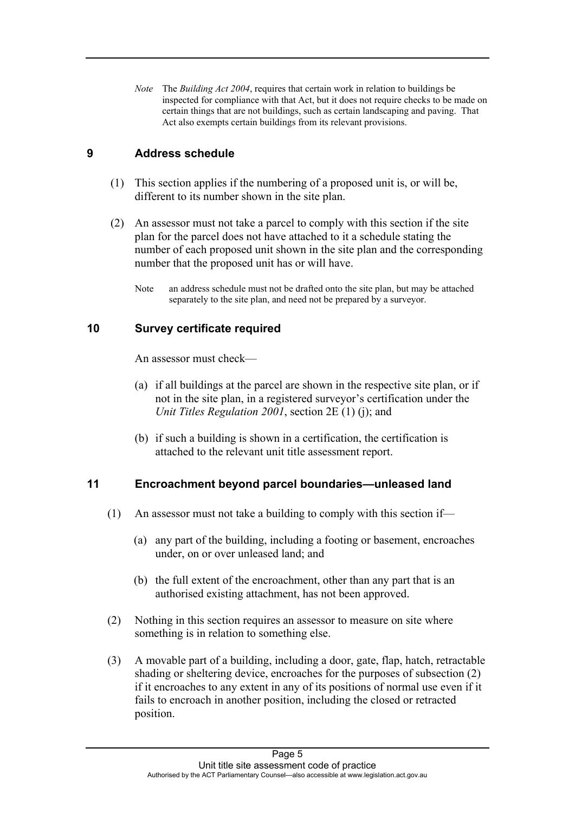*Note* The *Building Act 2004*, requires that certain work in relation to buildings be inspected for compliance with that Act, but it does not require checks to be made on certain things that are not buildings, such as certain landscaping and paving. That Act also exempts certain buildings from its relevant provisions.

#### <span id="page-6-0"></span>**9 Address schedule**

- (1) This section applies if the numbering of a proposed unit is, or will be, different to its number shown in the site plan.
- (2) An assessor must not take a parcel to comply with this section if the site plan for the parcel does not have attached to it a schedule stating the number of each proposed unit shown in the site plan and the corresponding number that the proposed unit has or will have.
	- Note an address schedule must not be drafted onto the site plan, but may be attached separately to the site plan, and need not be prepared by a surveyor.

#### <span id="page-6-1"></span>**10 Survey certificate required**

An assessor must check—

- (a) if all buildings at the parcel are shown in the respective site plan, or if not in the site plan, in a registered surveyor's certification under the *Unit Titles Regulation 2001*, section 2E (1) (j); and
- (b) if such a building is shown in a certification, the certification is attached to the relevant unit title assessment report.

#### <span id="page-6-2"></span>**11 Encroachment beyond parcel boundaries—unleased land**

- (1) An assessor must not take a building to comply with this section if—
	- (a) any part of the building, including a footing or basement, encroaches under, on or over unleased land; and
	- (b) the full extent of the encroachment, other than any part that is an authorised existing attachment, has not been approved.
- (2) Nothing in this section requires an assessor to measure on site where something is in relation to something else.
- (3) A movable part of a building, including a door, gate, flap, hatch, retractable shading or sheltering device, encroaches for the purposes of subsection (2) if it encroaches to any extent in any of its positions of normal use even if it fails to encroach in another position, including the closed or retracted position.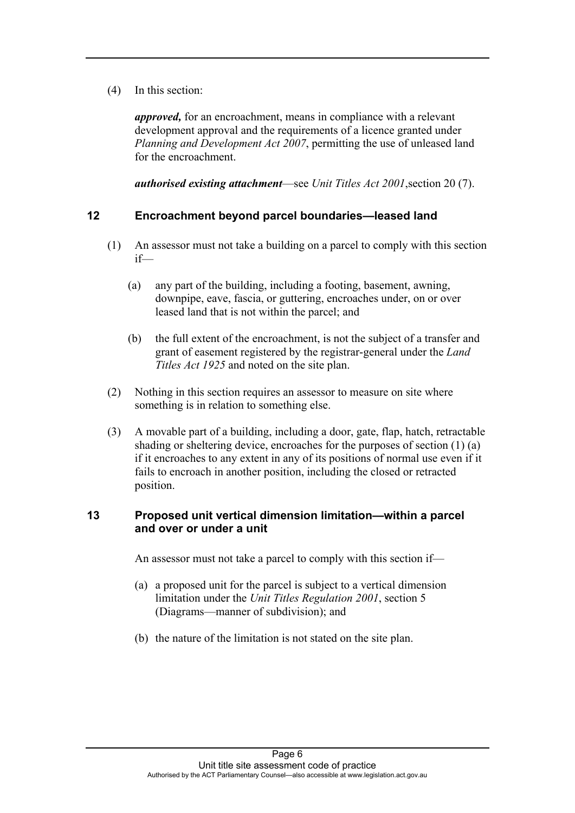(4) In this section:

*approved,* for an encroachment, means in compliance with a relevant development approval and the requirements of a licence granted under *Planning and Development Act 2007*, permitting the use of unleased land for the encroachment.

*authorised existing attachment*—see *Unit Titles Act 2001*,section 20 (7).

#### <span id="page-7-0"></span>**12 Encroachment beyond parcel boundaries—leased land**

- (1) An assessor must not take a building on a parcel to comply with this section if—
	- (a) any part of the building, including a footing, basement, awning, downpipe, eave, fascia, or guttering, encroaches under, on or over leased land that is not within the parcel; and
	- (b) the full extent of the encroachment, is not the subject of a transfer and grant of easement registered by the registrar-general under the *Land Titles Act 1925* and noted on the site plan.
- (2) Nothing in this section requires an assessor to measure on site where something is in relation to something else.
- (3) A movable part of a building, including a door, gate, flap, hatch, retractable shading or sheltering device, encroaches for the purposes of section (1) (a) if it encroaches to any extent in any of its positions of normal use even if it fails to encroach in another position, including the closed or retracted position.

#### <span id="page-7-1"></span>**13 Proposed unit vertical dimension limitation—within a parcel and over or under a unit**

An assessor must not take a parcel to comply with this section if—

- (a) a proposed unit for the parcel is subject to a vertical dimension limitation under the *Unit Titles Regulation 2001*, section 5 (Diagrams—manner of subdivision); and
- (b) the nature of the limitation is not stated on the site plan.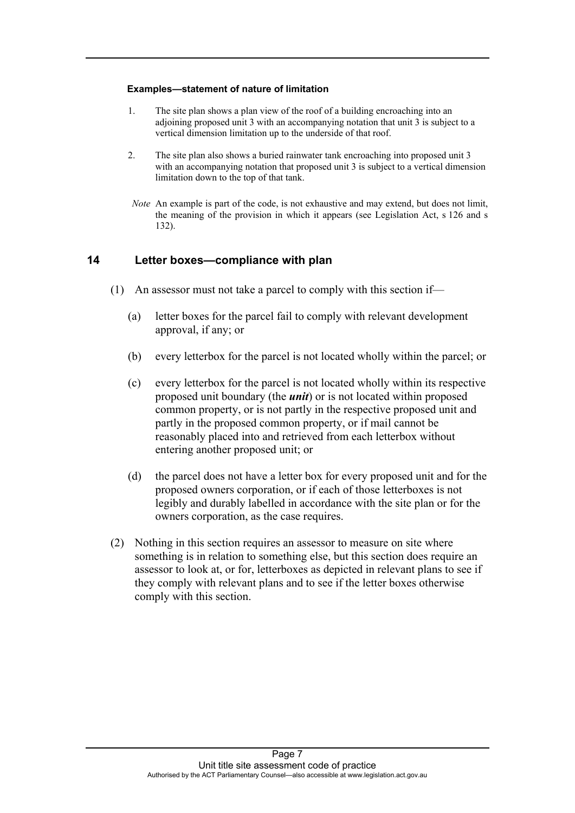#### **Examples—statement of nature of limitation**

- 1. The site plan shows a plan view of the roof of a building encroaching into an adjoining proposed unit 3 with an accompanying notation that unit 3 is subject to a vertical dimension limitation up to the underside of that roof.
- 2. The site plan also shows a buried rainwater tank encroaching into proposed unit 3 with an accompanying notation that proposed unit 3 is subject to a vertical dimension limitation down to the top of that tank.
- *Note* An example is part of the code, is not exhaustive and may extend, but does not limit, the meaning of the provision in which it appears (see Legislation Act, s 126 and s 132).

#### <span id="page-8-0"></span>**14 Letter boxes—compliance with plan**

- (1) An assessor must not take a parcel to comply with this section if—
	- (a) letter boxes for the parcel fail to comply with relevant development approval, if any; or
	- (b) every letterbox for the parcel is not located wholly within the parcel; or
	- (c) every letterbox for the parcel is not located wholly within its respective proposed unit boundary (the *unit*) or is not located within proposed common property, or is not partly in the respective proposed unit and partly in the proposed common property, or if mail cannot be reasonably placed into and retrieved from each letterbox without entering another proposed unit; or
	- (d) the parcel does not have a letter box for every proposed unit and for the proposed owners corporation, or if each of those letterboxes is not legibly and durably labelled in accordance with the site plan or for the owners corporation, as the case requires.
- (2) Nothing in this section requires an assessor to measure on site where something is in relation to something else, but this section does require an assessor to look at, or for, letterboxes as depicted in relevant plans to see if they comply with relevant plans and to see if the letter boxes otherwise comply with this section.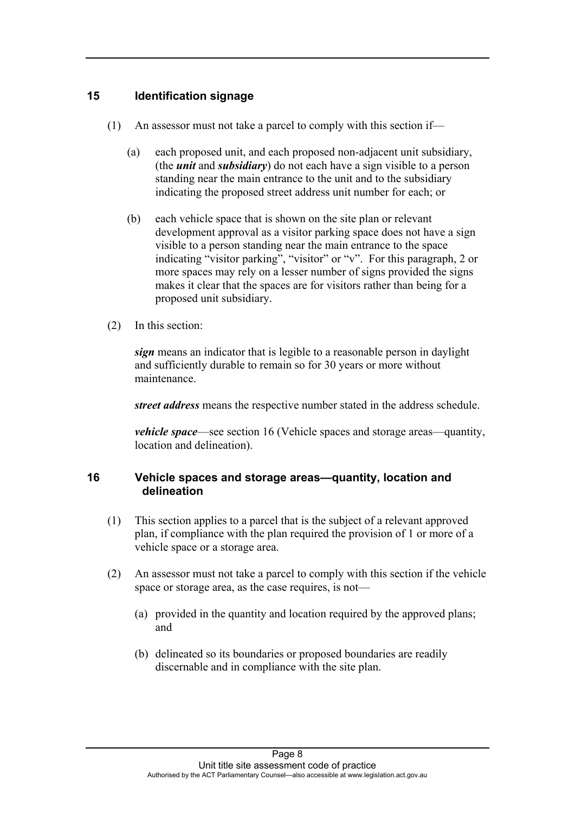#### <span id="page-9-0"></span>**15 Identification signage**

- (1) An assessor must not take a parcel to comply with this section if—
	- (a) each proposed unit, and each proposed non-adjacent unit subsidiary, (the *unit* and *subsidiary*) do not each have a sign visible to a person standing near the main entrance to the unit and to the subsidiary indicating the proposed street address unit number for each; or
	- (b) each vehicle space that is shown on the site plan or relevant development approval as a visitor parking space does not have a sign visible to a person standing near the main entrance to the space indicating "visitor parking", "visitor" or "v". For this paragraph, 2 or more spaces may rely on a lesser number of signs provided the signs makes it clear that the spaces are for visitors rather than being for a proposed unit subsidiary.
- (2) In this section:

*sign* means an indicator that is legible to a reasonable person in daylight and sufficiently durable to remain so for 30 years or more without maintenance.

*street address* means the respective number stated in the address schedule.

*vehicle space*—see section 16 (Vehicle spaces and storage areas—quantity, location and delineation).

#### <span id="page-9-1"></span>**16 Vehicle spaces and storage areas—quantity, location and delineation**

- (1) This section applies to a parcel that is the subject of a relevant approved plan, if compliance with the plan required the provision of 1 or more of a vehicle space or a storage area.
- (2) An assessor must not take a parcel to comply with this section if the vehicle space or storage area, as the case requires, is not—
	- (a) provided in the quantity and location required by the approved plans; and
	- (b) delineated so its boundaries or proposed boundaries are readily discernable and in compliance with the site plan.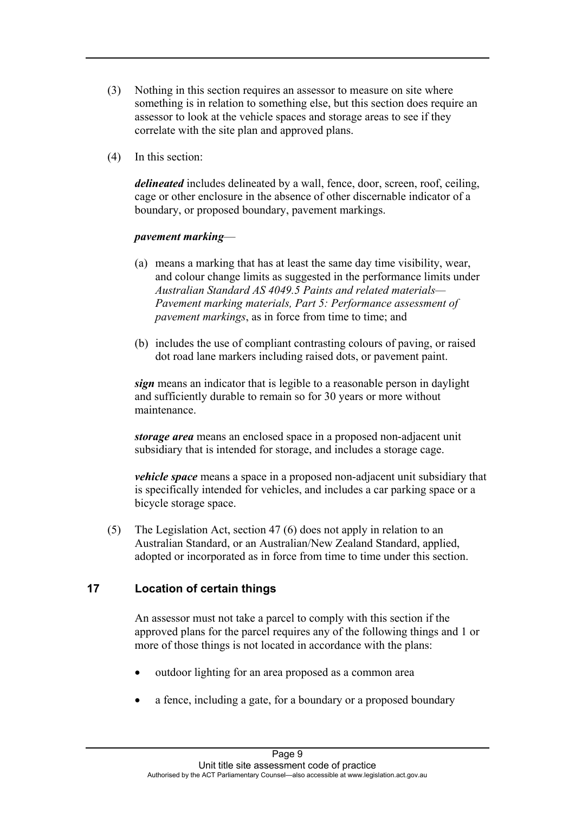- (3) Nothing in this section requires an assessor to measure on site where something is in relation to something else, but this section does require an assessor to look at the vehicle spaces and storage areas to see if they correlate with the site plan and approved plans.
- (4) In this section:

*delineated* includes delineated by a wall, fence, door, screen, roof, ceiling, cage or other enclosure in the absence of other discernable indicator of a boundary, or proposed boundary, pavement markings.

#### *pavement marking*—

- (a) means a marking that has at least the same day time visibility, wear, and colour change limits as suggested in the performance limits under *Australian Standard AS 4049.5 Paints and related materials— Pavement marking materials, Part 5: Performance assessment of pavement markings*, as in force from time to time; and
- (b) includes the use of compliant contrasting colours of paving, or raised dot road lane markers including raised dots, or pavement paint.

*sign* means an indicator that is legible to a reasonable person in daylight and sufficiently durable to remain so for 30 years or more without maintenance.

*storage area* means an enclosed space in a proposed non-adjacent unit subsidiary that is intended for storage, and includes a storage cage.

*vehicle space* means a space in a proposed non-adjacent unit subsidiary that is specifically intended for vehicles, and includes a car parking space or a bicycle storage space.

(5) The Legislation Act, section 47 (6) does not apply in relation to an Australian Standard, or an Australian/New Zealand Standard, applied, adopted or incorporated as in force from time to time under this section.

#### <span id="page-10-0"></span>**17 Location of certain things**

An assessor must not take a parcel to comply with this section if the approved plans for the parcel requires any of the following things and 1 or more of those things is not located in accordance with the plans:

- outdoor lighting for an area proposed as a common area
- a fence, including a gate, for a boundary or a proposed boundary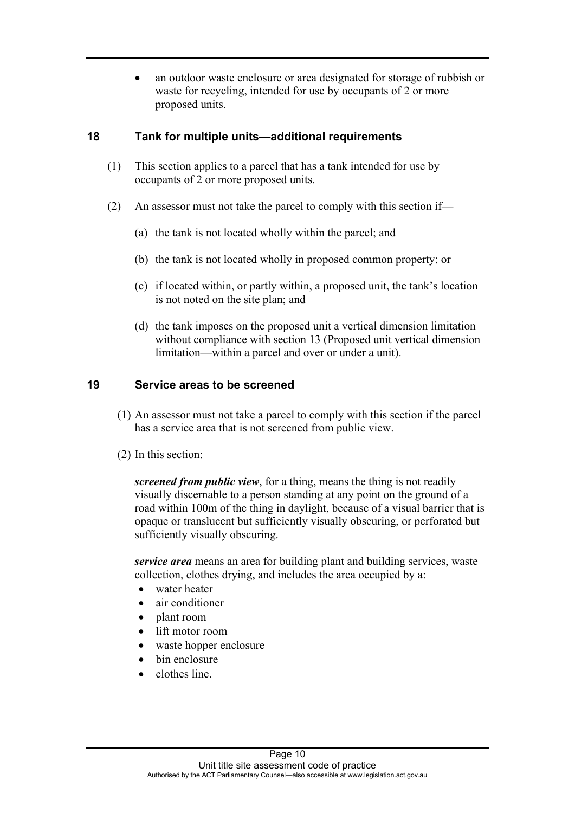an outdoor waste enclosure or area designated for storage of rubbish or waste for recycling, intended for use by occupants of 2 or more proposed units.

#### <span id="page-11-0"></span>**18 Tank for multiple units—additional requirements**

- (1) This section applies to a parcel that has a tank intended for use by occupants of 2 or more proposed units.
- (2) An assessor must not take the parcel to comply with this section if—
	- (a) the tank is not located wholly within the parcel; and
	- (b) the tank is not located wholly in proposed common property; or
	- (c) if located within, or partly within, a proposed unit, the tank's location is not noted on the site plan; and
	- (d) the tank imposes on the proposed unit a vertical dimension limitation without compliance with section 13 (Proposed unit vertical dimension limitation—within a parcel and over or under a unit).

#### <span id="page-11-1"></span>**19 Service areas to be screened**

- (1) An assessor must not take a parcel to comply with this section if the parcel has a service area that is not screened from public view.
- (2) In this section:

*screened from public view*, for a thing, means the thing is not readily visually discernable to a person standing at any point on the ground of a road within 100m of the thing in daylight, because of a visual barrier that is opaque or translucent but sufficiently visually obscuring, or perforated but sufficiently visually obscuring.

*service area* means an area for building plant and building services, waste collection, clothes drying, and includes the area occupied by a:

- water heater
- air conditioner
- plant room
- lift motor room
- waste hopper enclosure
- bin enclosure
- clothes line.